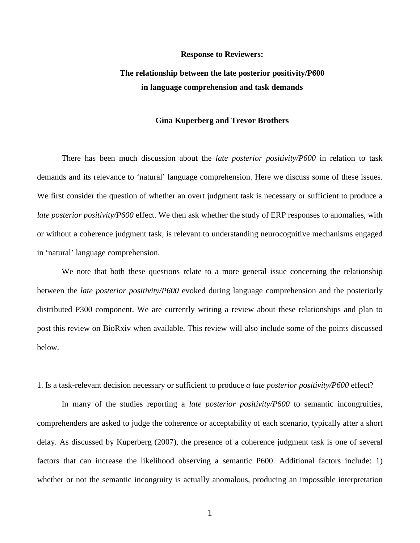#### **Response to Reviewers:**

### **The relationship between the late posterior positivity/P600 in language comprehension and task demands**

#### **Gina Kuperberg and Trevor Brothers**

There has been much discussion about the *late posterior positivity/P600* in relation to task demands and its relevance to 'natural' language comprehension. Here we discuss some of these issues. We first consider the question of whether an overt judgment task is necessary or sufficient to produce a *late posterior positivity/P600* effect. We then ask whether the study of ERP responses to anomalies, with or without a coherence judgment task, is relevant to understanding neurocognitive mechanisms engaged in 'natural' language comprehension.

We note that both these questions relate to a more general issue concerning the relationship between the *late posterior positivity/P600* evoked during language comprehension and the posteriorly distributed P300 component. We are currently writing a review about these relationships and plan to post this review on BioRxiv when available. This review will also include some of the points discussed below.

#### 1. Is a task-relevant decision necessary or sufficient to produce *a late posterior positivity/P600* effect?

In many of the studies reporting a *late posterior positivity/P600* to semantic incongruities, comprehenders are asked to judge the coherence or acceptability of each scenario, typically after a short delay. As discussed by Kuperberg (2007), the presence of a coherence judgment task is one of several factors that can increase the likelihood observing a semantic P600. Additional factors include: 1) whether or not the semantic incongruity is actually anomalous, producing an impossible interpretation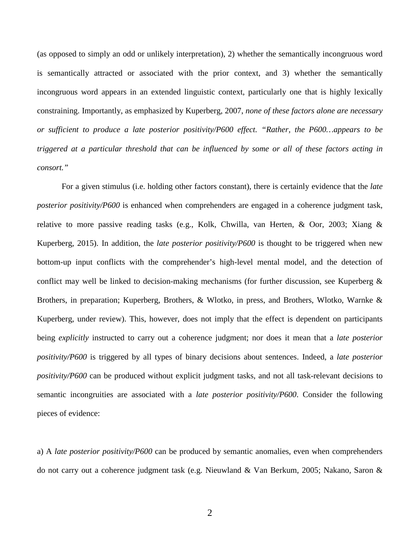(as opposed to simply an odd or unlikely interpretation), 2) whether the semantically incongruous word is semantically attracted or associated with the prior context, and 3) whether the semantically incongruous word appears in an extended linguistic context, particularly one that is highly lexically constraining. Importantly, as emphasized by Kuperberg, 2007, *none of these factors alone are necessary or sufficient to produce a late posterior positivity/P600 effect. "Rather, the P600…appears to be triggered at a particular threshold that can be influenced by some or all of these factors acting in consort."* 

For a given stimulus (i.e. holding other factors constant), there is certainly evidence that the *late posterior positivity/P600* is enhanced when comprehenders are engaged in a coherence judgment task, relative to more passive reading tasks (e.g., Kolk, Chwilla, van Herten, & Oor, 2003; Xiang & Kuperberg, 2015). In addition, the *late posterior positivity/P600* is thought to be triggered when new bottom-up input conflicts with the comprehender's high-level mental model, and the detection of conflict may well be linked to decision-making mechanisms (for further discussion, see Kuperberg & Brothers, in preparation; Kuperberg, Brothers, & Wlotko, in press, and Brothers, Wlotko, Warnke & Kuperberg, under review). This, however, does not imply that the effect is dependent on participants being *explicitly* instructed to carry out a coherence judgment; nor does it mean that a *late posterior positivity/P600* is triggered by all types of binary decisions about sentences. Indeed, a *late posterior positivity/P600* can be produced without explicit judgment tasks, and not all task-relevant decisions to semantic incongruities are associated with a *late posterior positivity/P600*. Consider the following pieces of evidence:

a) A *late posterior positivity/P600* can be produced by semantic anomalies, even when comprehenders do not carry out a coherence judgment task (e.g. Nieuwland & Van Berkum, 2005; Nakano, Saron &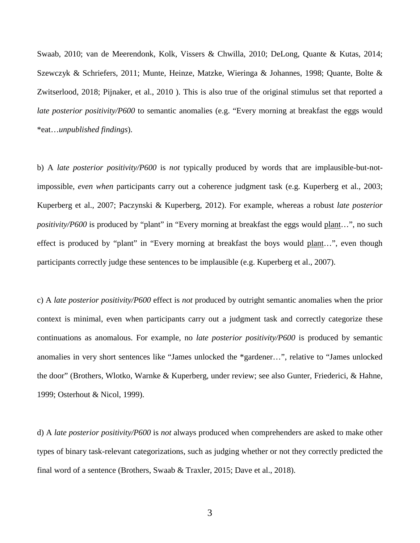Swaab, 2010; van de Meerendonk, Kolk, Vissers & Chwilla, 2010; DeLong, Quante & Kutas, 2014; Szewczyk & Schriefers, 2011; Munte, Heinze, Matzke, Wieringa & Johannes, 1998; Quante, Bolte & Zwitserlood, 2018; Pijnaker, et al., 2010 ). This is also true of the original stimulus set that reported a *late posterior positivity/P600* to semantic anomalies (e.g. "Every morning at breakfast the eggs would \*eat…*unpublished findings*).

b) A *late posterior positivity/P600* is *not* typically produced by words that are implausible-but-notimpossible, *even when* participants carry out a coherence judgment task (e.g. Kuperberg et al., 2003; Kuperberg et al., 2007; Paczynski & Kuperberg, 2012). For example, whereas a robust *late posterior positivity/P600* is produced by "plant" in "Every morning at breakfast the eggs would plant...", no such effect is produced by "plant" in "Every morning at breakfast the boys would plant…", even though participants correctly judge these sentences to be implausible (e.g. Kuperberg et al., 2007).

c) A *late posterior positivity/P600* effect is *not* produced by outright semantic anomalies when the prior context is minimal, even when participants carry out a judgment task and correctly categorize these continuations as anomalous. For example, no *late posterior positivity/P600* is produced by semantic anomalies in very short sentences like "James unlocked the \*gardener…", relative to "James unlocked the door" (Brothers, Wlotko, Warnke & Kuperberg, under review; see also Gunter, Friederici, & Hahne, 1999; Osterhout & Nicol, 1999).

d) A *late posterior positivity/P600* is *not* always produced when comprehenders are asked to make other types of binary task-relevant categorizations, such as judging whether or not they correctly predicted the final word of a sentence (Brothers, Swaab & Traxler, 2015; Dave et al., 2018).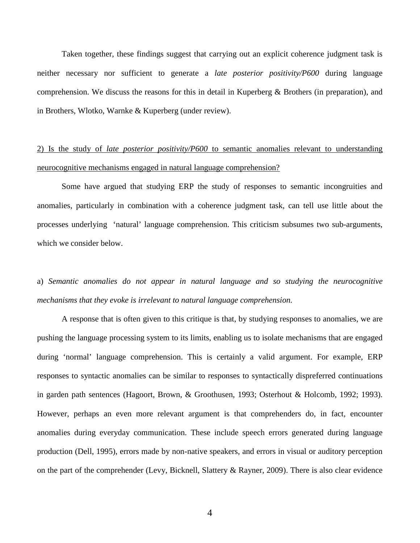Taken together, these findings suggest that carrying out an explicit coherence judgment task is neither necessary nor sufficient to generate a *late posterior positivity/P600* during language comprehension. We discuss the reasons for this in detail in Kuperberg & Brothers (in preparation), and in Brothers, Wlotko, Warnke & Kuperberg (under review).

# 2) Is the study of *late posterior positivity/P600* to semantic anomalies relevant to understanding neurocognitive mechanisms engaged in natural language comprehension?

Some have argued that studying ERP the study of responses to semantic incongruities and anomalies, particularly in combination with a coherence judgment task, can tell use little about the processes underlying 'natural' language comprehension. This criticism subsumes two sub-arguments, which we consider below.

# a) *Semantic anomalies do not appear in natural language and so studying the neurocognitive mechanisms that they evoke is irrelevant to natural language comprehension.*

A response that is often given to this critique is that, by studying responses to anomalies, we are pushing the language processing system to its limits, enabling us to isolate mechanisms that are engaged during 'normal' language comprehension. This is certainly a valid argument. For example, ERP responses to syntactic anomalies can be similar to responses to syntactically dispreferred continuations in garden path sentences (Hagoort, Brown, & Groothusen, 1993; Osterhout & Holcomb, 1992; 1993). However, perhaps an even more relevant argument is that comprehenders do, in fact, encounter anomalies during everyday communication. These include speech errors generated during language production (Dell, 1995), errors made by non-native speakers, and errors in visual or auditory perception on the part of the comprehender (Levy, Bicknell, Slattery & Rayner, 2009). There is also clear evidence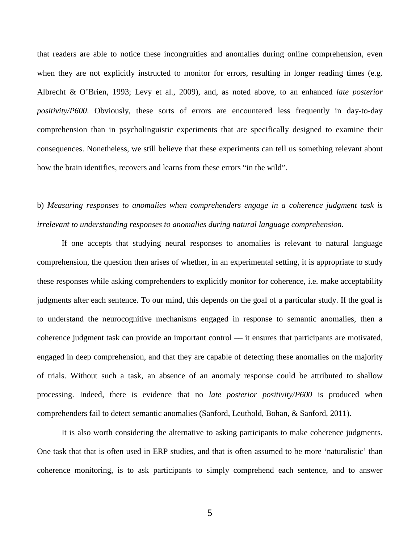that readers are able to notice these incongruities and anomalies during online comprehension, even when they are not explicitly instructed to monitor for errors, resulting in longer reading times (e.g. Albrecht & O'Brien, 1993; Levy et al., 2009), and, as noted above, to an enhanced *late posterior positivity/P600*. Obviously, these sorts of errors are encountered less frequently in day-to-day comprehension than in psycholinguistic experiments that are specifically designed to examine their consequences. Nonetheless, we still believe that these experiments can tell us something relevant about how the brain identifies, recovers and learns from these errors "in the wild".

# b) *Measuring responses to anomalies when comprehenders engage in a coherence judgment task is irrelevant to understanding responses to anomalies during natural language comprehension.*

If one accepts that studying neural responses to anomalies is relevant to natural language comprehension, the question then arises of whether, in an experimental setting, it is appropriate to study these responses while asking comprehenders to explicitly monitor for coherence, i.e. make acceptability judgments after each sentence. To our mind, this depends on the goal of a particular study. If the goal is to understand the neurocognitive mechanisms engaged in response to semantic anomalies, then a coherence judgment task can provide an important control –– it ensures that participants are motivated, engaged in deep comprehension, and that they are capable of detecting these anomalies on the majority of trials. Without such a task, an absence of an anomaly response could be attributed to shallow processing. Indeed, there is evidence that no *late posterior positivity/P600* is produced when comprehenders fail to detect semantic anomalies (Sanford, Leuthold, Bohan, & Sanford, 2011).

It is also worth considering the alternative to asking participants to make coherence judgments. One task that that is often used in ERP studies, and that is often assumed to be more 'naturalistic' than coherence monitoring, is to ask participants to simply comprehend each sentence, and to answer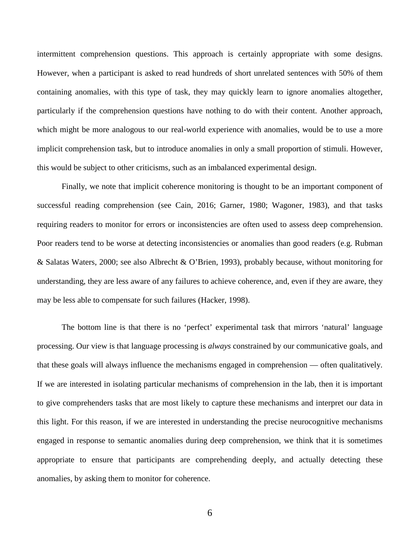intermittent comprehension questions. This approach is certainly appropriate with some designs. However, when a participant is asked to read hundreds of short unrelated sentences with 50% of them containing anomalies, with this type of task, they may quickly learn to ignore anomalies altogether, particularly if the comprehension questions have nothing to do with their content. Another approach, which might be more analogous to our real-world experience with anomalies, would be to use a more implicit comprehension task, but to introduce anomalies in only a small proportion of stimuli. However, this would be subject to other criticisms, such as an imbalanced experimental design.

Finally, we note that implicit coherence monitoring is thought to be an important component of successful reading comprehension (see Cain, 2016; Garner, 1980; Wagoner, 1983), and that tasks requiring readers to monitor for errors or inconsistencies are often used to assess deep comprehension. Poor readers tend to be worse at detecting inconsistencies or anomalies than good readers (e.g. Rubman & Salatas Waters, 2000; see also Albrecht & O'Brien, 1993), probably because, without monitoring for understanding, they are less aware of any failures to achieve coherence, and, even if they are aware, they may be less able to compensate for such failures (Hacker, 1998).

The bottom line is that there is no 'perfect' experimental task that mirrors 'natural' language processing. Our view is that language processing is *always* constrained by our communicative goals, and that these goals will always influence the mechanisms engaged in comprehension — often qualitatively. If we are interested in isolating particular mechanisms of comprehension in the lab, then it is important to give comprehenders tasks that are most likely to capture these mechanisms and interpret our data in this light. For this reason, if we are interested in understanding the precise neurocognitive mechanisms engaged in response to semantic anomalies during deep comprehension, we think that it is sometimes appropriate to ensure that participants are comprehending deeply, and actually detecting these anomalies, by asking them to monitor for coherence.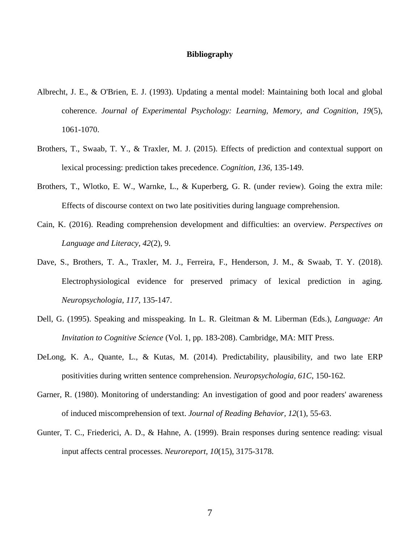### **Bibliography**

- Albrecht, J. E., & O'Brien, E. J. (1993). Updating a mental model: Maintaining both local and global coherence. *Journal of Experimental Psychology: Learning, Memory, and Cognition, 19*(5), 1061-1070.
- Brothers, T., Swaab, T. Y., & Traxler, M. J. (2015). Effects of prediction and contextual support on lexical processing: prediction takes precedence. *Cognition, 136*, 135-149.
- Brothers, T., Wlotko, E. W., Warnke, L., & Kuperberg, G. R. (under review). Going the extra mile: Effects of discourse context on two late positivities during language comprehension.
- Cain, K. (2016). Reading comprehension development and difficulties: an overview. *Perspectives on Language and Literacy, 42*(2), 9.
- Dave, S., Brothers, T. A., Traxler, M. J., Ferreira, F., Henderson, J. M., & Swaab, T. Y. (2018). Electrophysiological evidence for preserved primacy of lexical prediction in aging. *Neuropsychologia, 117*, 135-147.
- Dell, G. (1995). Speaking and misspeaking. In L. R. Gleitman & M. Liberman (Eds.), *Language: An Invitation to Cognitive Science* (Vol. 1, pp. 183-208). Cambridge, MA: MIT Press.
- DeLong, K. A., Quante, L., & Kutas, M. (2014). Predictability, plausibility, and two late ERP positivities during written sentence comprehension. *Neuropsychologia, 61C*, 150-162.
- Garner, R. (1980). Monitoring of understanding: An investigation of good and poor readers' awareness of induced miscomprehension of text. *Journal of Reading Behavior, 12*(1), 55-63.
- Gunter, T. C., Friederici, A. D., & Hahne, A. (1999). Brain responses during sentence reading: visual input affects central processes. *Neuroreport, 10*(15), 3175-3178.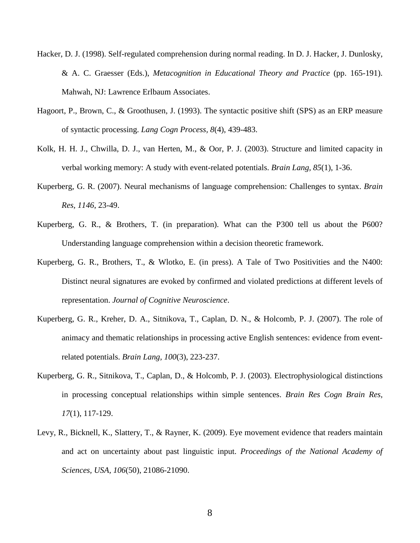- Hacker, D. J. (1998). Self-regulated comprehension during normal reading. In D. J. Hacker, J. Dunlosky, & A. C. Graesser (Eds.), *Metacognition in Educational Theory and Practice* (pp. 165-191). Mahwah, NJ: Lawrence Erlbaum Associates.
- Hagoort, P., Brown, C., & Groothusen, J. (1993). The syntactic positive shift (SPS) as an ERP measure of syntactic processing. *Lang Cogn Process, 8*(4), 439-483.
- Kolk, H. H. J., Chwilla, D. J., van Herten, M., & Oor, P. J. (2003). Structure and limited capacity in verbal working memory: A study with event-related potentials. *Brain Lang, 85*(1), 1-36.
- Kuperberg, G. R. (2007). Neural mechanisms of language comprehension: Challenges to syntax. *Brain Res, 1146*, 23-49.
- Kuperberg, G. R., & Brothers, T. (in preparation). What can the P300 tell us about the P600? Understanding language comprehension within a decision theoretic framework.
- Kuperberg, G. R., Brothers, T., & Wlotko, E. (in press). A Tale of Two Positivities and the N400: Distinct neural signatures are evoked by confirmed and violated predictions at different levels of representation. *Journal of Cognitive Neuroscience*.
- Kuperberg, G. R., Kreher, D. A., Sitnikova, T., Caplan, D. N., & Holcomb, P. J. (2007). The role of animacy and thematic relationships in processing active English sentences: evidence from eventrelated potentials. *Brain Lang, 100*(3), 223-237.
- Kuperberg, G. R., Sitnikova, T., Caplan, D., & Holcomb, P. J. (2003). Electrophysiological distinctions in processing conceptual relationships within simple sentences. *Brain Res Cogn Brain Res, 17*(1), 117-129.
- Levy, R., Bicknell, K., Slattery, T., & Rayner, K. (2009). Eye movement evidence that readers maintain and act on uncertainty about past linguistic input. *Proceedings of the National Academy of Sciences, USA, 106*(50), 21086-21090.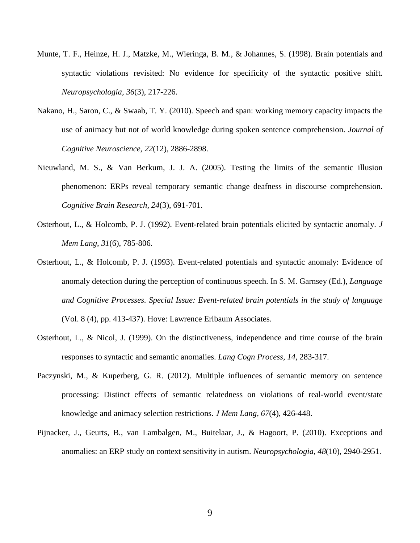- Munte, T. F., Heinze, H. J., Matzke, M., Wieringa, B. M., & Johannes, S. (1998). Brain potentials and syntactic violations revisited: No evidence for specificity of the syntactic positive shift. *Neuropsychologia, 36*(3), 217-226.
- Nakano, H., Saron, C., & Swaab, T. Y. (2010). Speech and span: working memory capacity impacts the use of animacy but not of world knowledge during spoken sentence comprehension. *Journal of Cognitive Neuroscience, 22*(12), 2886-2898.
- Nieuwland, M. S., & Van Berkum, J. J. A. (2005). Testing the limits of the semantic illusion phenomenon: ERPs reveal temporary semantic change deafness in discourse comprehension. *Cognitive Brain Research, 24*(3), 691-701.
- Osterhout, L., & Holcomb, P. J. (1992). Event-related brain potentials elicited by syntactic anomaly. *J Mem Lang, 31*(6), 785-806.
- Osterhout, L., & Holcomb, P. J. (1993). Event-related potentials and syntactic anomaly: Evidence of anomaly detection during the perception of continuous speech. In S. M. Garnsey (Ed.), *Language and Cognitive Processes. Special Issue: Event-related brain potentials in the study of language* (Vol. 8 (4), pp. 413-437). Hove: Lawrence Erlbaum Associates.
- Osterhout, L., & Nicol, J. (1999). On the distinctiveness, independence and time course of the brain responses to syntactic and semantic anomalies. *Lang Cogn Process, 14*, 283-317.
- Paczynski, M., & Kuperberg, G. R. (2012). Multiple influences of semantic memory on sentence processing: Distinct effects of semantic relatedness on violations of real-world event/state knowledge and animacy selection restrictions. *J Mem Lang, 67*(4), 426-448.
- Pijnacker, J., Geurts, B., van Lambalgen, M., Buitelaar, J., & Hagoort, P. (2010). Exceptions and anomalies: an ERP study on context sensitivity in autism. *Neuropsychologia, 48*(10), 2940-2951.